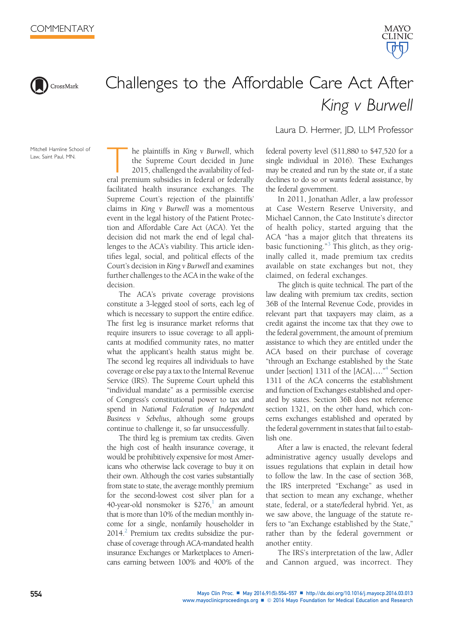



## Challenges to the Affordable Care Act After King v Burwell

Mitchell Hamline School of Law, Saint Paul, MN.

The plaintiffs in King v Burwell, which<br>the Supreme Court decided in June<br>2015, challenged the availability of fed-<br>eral premium subsidies in federal or federally the Supreme Court decided in June 2015, challenged the availability of fedfacilitated health insurance exchanges. The Supreme Court's rejection of the plaintiffs' claims in King v Burwell was a momentous event in the legal history of the Patient Protection and Affordable Care Act (ACA). Yet the decision did not mark the end of legal challenges to the ACA's viability. This article identifies legal, social, and political effects of the Court's decision in King v Burwell and examines further challenges to the ACA in the wake of the decision.

The ACA's private coverage provisions constitute a 3-legged stool of sorts, each leg of which is necessary to support the entire edifice. The first leg is insurance market reforms that require insurers to issue coverage to all applicants at modified community rates, no matter what the applicant's health status might be. The second leg requires all individuals to have coverage or else pay a tax to the Internal Revenue Service (IRS). The Supreme Court upheld this "individual mandate" as a permissible exercise of Congress's constitutional power to tax and spend in National Federation of Independent Business v Sebelius, although some groups continue to challenge it, so far unsuccessfully.

The third leg is premium tax credits. Given the high cost of health insurance coverage, it would be prohibitively expensive for most Americans who otherwise lack coverage to buy it on their own. Although the cost varies substantially from state to state, the average monthly premium for the second-lowest cost silver plan for a 40-year-old nonsmoker is  $$276<sup>1</sup>$  an amount that is more than 10% of the median monthly income for a single, nonfamily householder in  $2014<sup>2</sup>$  $2014<sup>2</sup>$  Premium tax credits subsidize the purchase of coverage through ACA-mandated health insurance Exchanges or Marketplaces to Americans earning between 100% and 400% of the Laura D. Hermer, JD, LLM Professor

federal poverty level (\$11,880 to \$47,520 for a single individual in 2016). These Exchanges may be created and run by the state or, if a state declines to do so or wants federal assistance, by the federal government.

In 2011, Jonathan Adler, a law professor at Case Western Reserve University, and Michael Cannon, the Cato Institute's director of health policy, started arguing that the ACA "has a major glitch that threatens its basic functioning." [3](#page-2-0) This glitch, as they originally called it, made premium tax credits available on state exchanges but not, they claimed, on federal exchanges.

The glitch is quite technical. The part of the law dealing with premium tax credits, section 36B of the Internal Revenue Code, provides in relevant part that taxpayers may claim, as a credit against the income tax that they owe to the federal government, the amount of premium assistance to which they are entitled under the ACA based on their purchase of coverage "through an Exchange established by the State under [section] 1311 of the [ACA]...."<sup>[4](#page-2-0)</sup> Section 1311 of the ACA concerns the establishment and function of Exchanges established and operated by states. Section 36B does not reference section 1321, on the other hand, which concerns exchanges established and operated by the federal government in states that fail to establish one.

After a law is enacted, the relevant federal administrative agency usually develops and issues regulations that explain in detail how to follow the law. In the case of section 36B, the IRS interpreted "Exchange" as used in that section to mean any exchange, whether state, federal, or a state/federal hybrid. Yet, as we saw above, the language of the statute refers to "an Exchange established by the State," rather than by the federal government or another entity.

The IRS's interpretation of the law, Adler and Cannon argued, was incorrect. They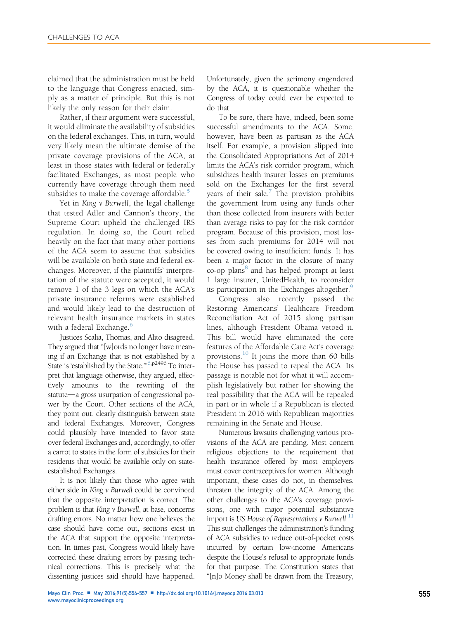claimed that the administration must be held to the language that Congress enacted, simply as a matter of principle. But this is not likely the only reason for their claim.

Rather, if their argument were successful, it would eliminate the availability of subsidies on the federal exchanges. This, in turn, would very likely mean the ultimate demise of the private coverage provisions of the ACA, at least in those states with federal or federally facilitated Exchanges, as most people who currently have coverage through them need subsidies to make the coverage affordable.<sup>[5](#page-2-0)</sup>

Yet in King v Burwell, the legal challenge that tested Adler and Cannon's theory, the Supreme Court upheld the challenged IRS regulation. In doing so, the Court relied heavily on the fact that many other portions of the ACA seem to assume that subsidies will be available on both state and federal exchanges. Moreover, if the plaintiffs' interpretation of the statute were accepted, it would remove 1 of the 3 legs on which the ACA's private insurance reforms were established and would likely lead to the destruction of relevant health insurance markets in states with a federal Exchange.<sup>[6](#page-3-0)</sup>

Justices Scalia, Thomas, and Alito disagreed. They argued that "[w]ords no longer have meaning if an Exchange that is not established by a State is 'established by the State.'"[6,](#page-3-0)p2496 To interpret that language otherwise, they argued, effectively amounts to the rewriting of the statute-a gross usurpation of congressional power by the Court. Other sections of the ACA, they point out, clearly distinguish between state and federal Exchanges. Moreover, Congress could plausibly have intended to favor state over federal Exchanges and, accordingly, to offer a carrot to states in the form of subsidies for their residents that would be available only on stateestablished Exchanges.

It is not likely that those who agree with either side in King v Burwell could be convinced that the opposite interpretation is correct. The problem is that King v Burwell, at base, concerns drafting errors. No matter how one believes the case should have come out, sections exist in the ACA that support the opposite interpretation. In times past, Congress would likely have corrected these drafting errors by passing technical corrections. This is precisely what the dissenting justices said should have happened.

Unfortunately, given the acrimony engendered by the ACA, it is questionable whether the Congress of today could ever be expected to do that.

To be sure, there have, indeed, been some successful amendments to the ACA. Some, however, have been as partisan as the ACA itself. For example, a provision slipped into the Consolidated Appropriations Act of 2014 limits the ACA's risk corridor program, which subsidizes health insurer losses on premiums sold on the Exchanges for the first several years of their sale. $^7$  $^7$  The provision prohibits the government from using any funds other than those collected from insurers with better than average risks to pay for the risk corridor program. Because of this provision, most losses from such premiums for 2014 will not be covered owing to insufficient funds. It has been a major factor in the closure of many co-op plans<sup>[8](#page-3-0)</sup> and has helped prompt at least 1 large insurer, UnitedHealth, to reconsider its participation in the Exchanges altogether.<sup>[9](#page-3-0)</sup>

Congress also recently passed the Restoring Americans' Healthcare Freedom Reconciliation Act of 2015 along partisan lines, although President Obama vetoed it. This bill would have eliminated the core features of the Affordable Care Act's coverage provisions. $^{10}$  $^{10}$  $^{10}$  It joins the more than 60 bills the House has passed to repeal the ACA. Its passage is notable not for what it will accomplish legislatively but rather for showing the real possibility that the ACA will be repealed in part or in whole if a Republican is elected President in 2016 with Republican majorities remaining in the Senate and House.

Numerous lawsuits challenging various provisions of the ACA are pending. Most concern religious objections to the requirement that health insurance offered by most employers must cover contraceptives for women. Although important, these cases do not, in themselves, threaten the integrity of the ACA. Among the other challenges to the ACA's coverage provisions, one with major potential substantive import is US House of Representatives v Burwell.<sup>[11](#page-3-0)</sup> This suit challenges the administration's funding of ACA subsidies to reduce out-of-pocket costs incurred by certain low-income Americans despite the House's refusal to appropriate funds for that purpose. The Constitution states that "[n]o Money shall be drawn from the Treasury,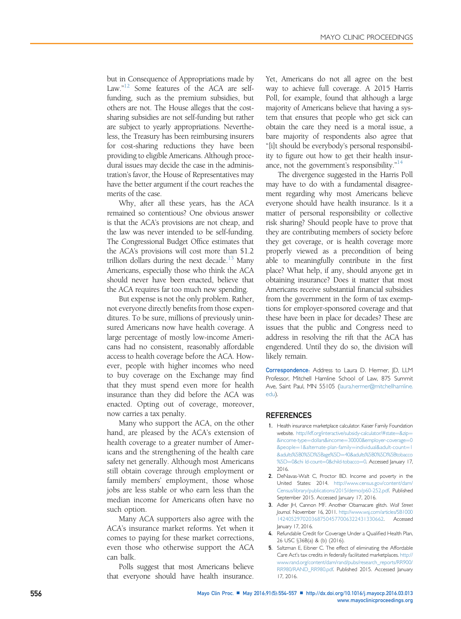<span id="page-2-0"></span>but in Consequence of Appropriations made by Law."<sup>[12](#page-3-0)</sup> Some features of the ACA are selffunding, such as the premium subsidies, but others are not. The House alleges that the costsharing subsidies are not self-funding but rather are subject to yearly appropriations. Nevertheless, the Treasury has been reimbursing insurers for cost-sharing reductions they have been providing to eligible Americans. Although procedural issues may decide the case in the administration's favor, the House of Representatives may have the better argument if the court reaches the merits of the case.

Why, after all these years, has the ACA remained so contentious? One obvious answer is that the ACA's provisions are not cheap, and the law was never intended to be self-funding. The Congressional Budget Office estimates that the ACA's provisions will cost more than \$1.2 trillion dollars during the next decade.<sup>[13](#page-3-0)</sup> Many Americans, especially those who think the ACA should never have been enacted, believe that the ACA requires far too much new spending.

But expense is not the only problem. Rather, not everyone directly benefits from those expenditures. To be sure, millions of previously uninsured Americans now have health coverage. A large percentage of mostly low-income Americans had no consistent, reasonably affordable access to health coverage before the ACA. However, people with higher incomes who need to buy coverage on the Exchange may find that they must spend even more for health insurance than they did before the ACA was enacted. Opting out of coverage, moreover, now carries a tax penalty.

Many who support the ACA, on the other hand, are pleased by the ACA's extension of health coverage to a greater number of Americans and the strengthening of the health care safety net generally. Although most Americans still obtain coverage through employment or family members' employment, those whose jobs are less stable or who earn less than the median income for Americans often have no such option.

Many ACA supporters also agree with the ACA's insurance market reforms. Yet when it comes to paying for these market corrections, even those who otherwise support the ACA can balk.

Polls suggest that most Americans believe that everyone should have health insurance.

Yet, Americans do not all agree on the best way to achieve full coverage. A 2015 Harris Poll, for example, found that although a large majority of Americans believe that having a system that ensures that people who get sick can obtain the care they need is a moral issue, a bare majority of respondents also agree that "[i]t should be everybody's personal responsibility to figure out how to get their health insur-ance, not the government's responsibility."<sup>[14](#page-3-0)</sup>

The divergence suggested in the Harris Poll may have to do with a fundamental disagreement regarding why most Americans believe everyone should have health insurance. Is it a matter of personal responsibility or collective risk sharing? Should people have to prove that they are contributing members of society before they get coverage, or is health coverage more properly viewed as a precondition of being able to meaningfully contribute in the first place? What help, if any, should anyone get in obtaining insurance? Does it matter that most Americans receive substantial financial subsidies from the government in the form of tax exemptions for employer-sponsored coverage and that these have been in place for decades? These are issues that the public and Congress need to address in resolving the rift that the ACA has engendered. Until they do so, the division will likely remain.

Correspondence: Address to Laura D. Hermer, JD, LLM Professor, Mitchell Hamline School of Law, 875 Summit Ave, Saint Paul, MN 55105 ([laura.hermer@mitchellhamline.](mailto:laura.hermer@mitchellhamline.edu) [edu\)](mailto:laura.hermer@mitchellhamline.edu).

## **REFERENCES**

- 1. Health insurance marketplace calculator. Kaiser Family Foundation website. [http://kff.org/interactive/subsidy-calculator/#state](http://kff.org/interactive/subsidy-calculator/#state=%26zip=%26income-type=dollars%26income=30000%26employer-coverage=0%26people=1%26alternate-plan-family=individual%26adult-count=1%26adults%5B0%5D%5Bage%5D=40%26adults%5B0%5D%5Btobacco%5D=0%26chi%20ld-count=0%26child-tobacco=0)=[&zip](http://kff.org/interactive/subsidy-calculator/#state=%26zip=%26income-type=dollars%26income=30000%26employer-coverage=0%26people=1%26alternate-plan-family=individual%26adult-count=1%26adults%5B0%5D%5Bage%5D=40%26adults%5B0%5D%5Btobacco%5D=0%26chi%20ld-count=0%26child-tobacco=0)= [&income-type](http://kff.org/interactive/subsidy-calculator/#state=%26zip=%26income-type=dollars%26income=30000%26employer-coverage=0%26people=1%26alternate-plan-family=individual%26adult-count=1%26adults%5B0%5D%5Bage%5D=40%26adults%5B0%5D%5Btobacco%5D=0%26chi%20ld-count=0%26child-tobacco=0)=[dollars&income](http://kff.org/interactive/subsidy-calculator/#state=%26zip=%26income-type=dollars%26income=30000%26employer-coverage=0%26people=1%26alternate-plan-family=individual%26adult-count=1%26adults%5B0%5D%5Bage%5D=40%26adults%5B0%5D%5Btobacco%5D=0%26chi%20ld-count=0%26child-tobacco=0)=[30000&employer-coverage](http://kff.org/interactive/subsidy-calculator/#state=%26zip=%26income-type=dollars%26income=30000%26employer-coverage=0%26people=1%26alternate-plan-family=individual%26adult-count=1%26adults%5B0%5D%5Bage%5D=40%26adults%5B0%5D%5Btobacco%5D=0%26chi%20ld-count=0%26child-tobacco=0)=[0](http://kff.org/interactive/subsidy-calculator/#state=%26zip=%26income-type=dollars%26income=30000%26employer-coverage=0%26people=1%26alternate-plan-family=individual%26adult-count=1%26adults%5B0%5D%5Bage%5D=40%26adults%5B0%5D%5Btobacco%5D=0%26chi%20ld-count=0%26child-tobacco=0) [&people](http://kff.org/interactive/subsidy-calculator/#state=%26zip=%26income-type=dollars%26income=30000%26employer-coverage=0%26people=1%26alternate-plan-family=individual%26adult-count=1%26adults%5B0%5D%5Bage%5D=40%26adults%5B0%5D%5Btobacco%5D=0%26chi%20ld-count=0%26child-tobacco=0)=[1&alternate-plan-family](http://kff.org/interactive/subsidy-calculator/#state=%26zip=%26income-type=dollars%26income=30000%26employer-coverage=0%26people=1%26alternate-plan-family=individual%26adult-count=1%26adults%5B0%5D%5Bage%5D=40%26adults%5B0%5D%5Btobacco%5D=0%26chi%20ld-count=0%26child-tobacco=0)=[individual&adult-count](http://kff.org/interactive/subsidy-calculator/#state=%26zip=%26income-type=dollars%26income=30000%26employer-coverage=0%26people=1%26alternate-plan-family=individual%26adult-count=1%26adults%5B0%5D%5Bage%5D=40%26adults%5B0%5D%5Btobacco%5D=0%26chi%20ld-count=0%26child-tobacco=0)=[1](http://kff.org/interactive/subsidy-calculator/#state=%26zip=%26income-type=dollars%26income=30000%26employer-coverage=0%26people=1%26alternate-plan-family=individual%26adult-count=1%26adults%5B0%5D%5Bage%5D=40%26adults%5B0%5D%5Btobacco%5D=0%26chi%20ld-count=0%26child-tobacco=0) [&adults%5B0%5D%5Bage%5D](http://kff.org/interactive/subsidy-calculator/#state=%26zip=%26income-type=dollars%26income=30000%26employer-coverage=0%26people=1%26alternate-plan-family=individual%26adult-count=1%26adults%5B0%5D%5Bage%5D=40%26adults%5B0%5D%5Btobacco%5D=0%26chi%20ld-count=0%26child-tobacco=0)¼[40&adults%5B0%5D%5Btobacco](http://kff.org/interactive/subsidy-calculator/#state=%26zip=%26income-type=dollars%26income=30000%26employer-coverage=0%26people=1%26alternate-plan-family=individual%26adult-count=1%26adults%5B0%5D%5Bage%5D=40%26adults%5B0%5D%5Btobacco%5D=0%26chi%20ld-count=0%26child-tobacco=0) [%5D](http://kff.org/interactive/subsidy-calculator/#state=%26zip=%26income-type=dollars%26income=30000%26employer-coverage=0%26people=1%26alternate-plan-family=individual%26adult-count=1%26adults%5B0%5D%5Bage%5D=40%26adults%5B0%5D%5Btobacco%5D=0%26chi%20ld-count=0%26child-tobacco=0)=[0&chi ld-count](http://kff.org/interactive/subsidy-calculator/#state=%26zip=%26income-type=dollars%26income=30000%26employer-coverage=0%26people=1%26alternate-plan-family=individual%26adult-count=1%26adults%5B0%5D%5Bage%5D=40%26adults%5B0%5D%5Btobacco%5D=0%26chi%20ld-count=0%26child-tobacco=0)=[0&child-tobacco](http://kff.org/interactive/subsidy-calculator/#state=%26zip=%26income-type=dollars%26income=30000%26employer-coverage=0%26people=1%26alternate-plan-family=individual%26adult-count=1%26adults%5B0%5D%5Bage%5D=40%26adults%5B0%5D%5Btobacco%5D=0%26chi%20ld-count=0%26child-tobacco=0)=[0.](http://kff.org/interactive/subsidy-calculator/#state=%26zip=%26income-type=dollars%26income=30000%26employer-coverage=0%26people=1%26alternate-plan-family=individual%26adult-count=1%26adults%5B0%5D%5Bage%5D=40%26adults%5B0%5D%5Btobacco%5D=0%26chi%20ld-count=0%26child-tobacco=0) Accessed January 17, 2016.
- 2. DeNavas-Walt C, Proctor BD. Income and poverty in the United States: 2014. [http://www.census.gov/content/dam/](http://www.census.gov/content/dam/Census/library/publications/2015/demo/p60-252.pdf) [Census/library/publications/2015/demo/p60-252.pdf](http://www.census.gov/content/dam/Census/library/publications/2015/demo/p60-252.pdf). Published September 2015. Accessed January 17, 2016.
- 3. Adler JH, Cannon MF. Another Obamacare glitch. Wall Street Journal. November 16, 2011. [http://www.wsj.com/articles/SB1000](http://www.wsj.com/articles/SB10001424052970203687504577006322431330662) [1424052970203687504577006322431330662.](http://www.wsj.com/articles/SB10001424052970203687504577006322431330662) Accessed January 17, 2016.
- 4. Refundable Credit for Coverage Under a Qualified Health Plan, 26 USC §36B(a) & (b) (2016).
- 5. Saltzman E, Eibner C. The effect of eliminating the Affordable Care Act's tax credits in federally facilitated marketplaces. [http://](http://www.rand.org/content/dam/rand/pubs/research_reports/RR900/RR980/RAND_RR980.pdf) [www.rand.org/content/dam/rand/pubs/research\\_reports/RR900/](http://www.rand.org/content/dam/rand/pubs/research_reports/RR900/RR980/RAND_RR980.pdf) [RR980/RAND\\_RR980.pdf.](http://www.rand.org/content/dam/rand/pubs/research_reports/RR900/RR980/RAND_RR980.pdf) Published 2015. Accessed January 17, 2016.